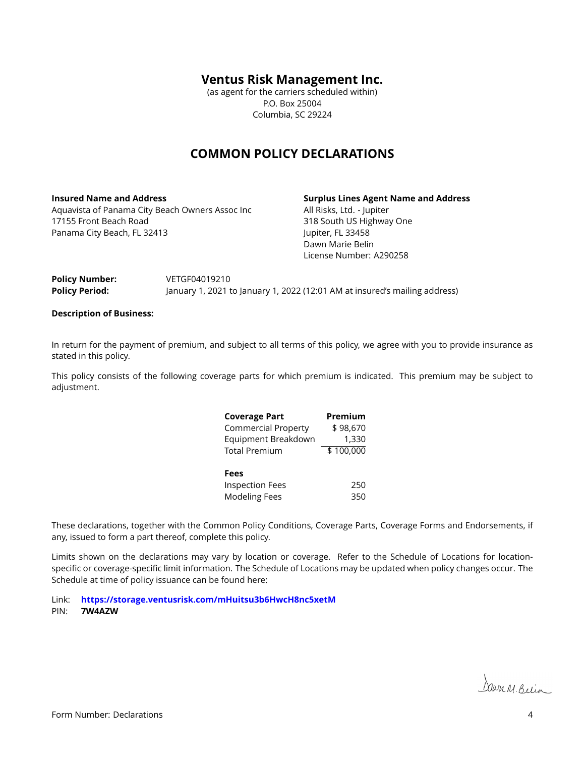#### **Ventus Risk Management Inc.**

(as agent for the carriers scheduled within) P.O. Box 25004 Columbia, SC 29224

## **COMMON POLICY DECLARATIONS**

**Insured Name and Address** Aquavista of Panama City Beach Owners Assoc Inc 17155 Front Beach Road Panama City Beach, FL 32413

**Surplus Lines Agent Name and Address**

All Risks, Ltd. - Jupiter 318 South US Highway One Jupiter, FL 33458 Dawn Marie Belin License Number: A290258

| Policy Number:        | VETGF04019210                                                              |
|-----------------------|----------------------------------------------------------------------------|
| <b>Policy Period:</b> | January 1, 2021 to January 1, 2022 (12:01 AM at insured's mailing address) |

#### **Description of Business:**

In return for the payment of premium, and subject to all terms of this policy, we agree with you to provide insurance as stated in this policy.

This policy consists of the following coverage parts for which premium is indicated. This premium may be subject to adjustment.

| <b>Coverage Part</b>       | Premium   |
|----------------------------|-----------|
| <b>Commercial Property</b> | \$98,670  |
| Equipment Breakdown        | 1,330     |
| <b>Total Premium</b>       | \$100,000 |
|                            |           |
| <b>Fees</b>                |           |
| <b>Inspection Fees</b>     | 250       |
| <b>Modeling Fees</b>       | 350       |

These declarations, together with the Common Policy Conditions, Coverage Parts, Coverage Forms and Endorsements, if any, issued to form a part thereof, complete this policy.

Limits shown on the declarations may vary by location or coverage. Refer to the Schedule of Locations for locationspecific or coverage-specific limit information. The Schedule of Locations may be updated when policy changes occur. The Schedule at time of policy issuance can be found here:

Link: **<https://storage.ventusrisk.com/mHuitsu3b6HwcH8nc5xetM>**

PIN: **7W4AZW**

Dawn M. Belin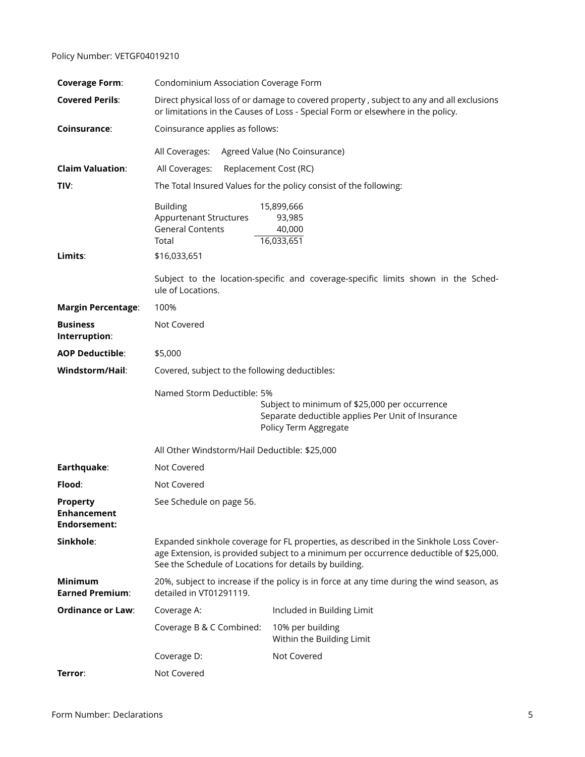#### Policy Number: VETGF04019210

| <b>Coverage Form:</b>                                 | Condominium Association Coverage Form                                                                                                                                                                                                      |                                                                                   |  |
|-------------------------------------------------------|--------------------------------------------------------------------------------------------------------------------------------------------------------------------------------------------------------------------------------------------|-----------------------------------------------------------------------------------|--|
| <b>Covered Perils:</b>                                | Direct physical loss of or damage to covered property, subject to any and all exclusions<br>or limitations in the Causes of Loss - Special Form or elsewhere in the policy.                                                                |                                                                                   |  |
| Coinsurance:                                          | Coinsurance applies as follows:                                                                                                                                                                                                            |                                                                                   |  |
|                                                       | All Coverages:                                                                                                                                                                                                                             | Agreed Value (No Coinsurance)                                                     |  |
| <b>Claim Valuation:</b>                               | All Coverages:<br>Replacement Cost (RC)                                                                                                                                                                                                    |                                                                                   |  |
| TIV:                                                  | The Total Insured Values for the policy consist of the following:                                                                                                                                                                          |                                                                                   |  |
|                                                       | <b>Building</b><br><b>Appurtenant Structures</b><br><b>General Contents</b><br>Total                                                                                                                                                       | 15,899,666<br>93,985<br>40,000<br>16,033,651                                      |  |
| Limits:                                               | \$16,033,651                                                                                                                                                                                                                               |                                                                                   |  |
|                                                       | ule of Locations.                                                                                                                                                                                                                          | Subject to the location-specific and coverage-specific limits shown in the Sched- |  |
| <b>Margin Percentage:</b>                             | 100%                                                                                                                                                                                                                                       |                                                                                   |  |
| <b>Business</b><br>Interruption:                      | Not Covered                                                                                                                                                                                                                                |                                                                                   |  |
| <b>AOP Deductible:</b>                                | \$5,000                                                                                                                                                                                                                                    |                                                                                   |  |
| Windstorm/Hail:                                       | Covered, subject to the following deductibles:                                                                                                                                                                                             |                                                                                   |  |
|                                                       | Named Storm Deductible: 5%<br>Subject to minimum of \$25,000 per occurrence<br>Separate deductible applies Per Unit of Insurance<br>Policy Term Aggregate                                                                                  |                                                                                   |  |
|                                                       | All Other Windstorm/Hail Deductible: \$25,000                                                                                                                                                                                              |                                                                                   |  |
| Earthquake:                                           | Not Covered                                                                                                                                                                                                                                |                                                                                   |  |
| Flood:                                                | Not Covered                                                                                                                                                                                                                                |                                                                                   |  |
| <b>Property</b><br><b>Enhancement</b><br>Endorsement: | See Schedule on page 56.                                                                                                                                                                                                                   |                                                                                   |  |
| Sinkhole:                                             | Expanded sinkhole coverage for FL properties, as described in the Sinkhole Loss Cover-<br>age Extension, is provided subject to a minimum per occurrence deductible of \$25,000.<br>See the Schedule of Locations for details by building. |                                                                                   |  |
| <b>Minimum</b><br><b>Earned Premium:</b>              | 20%, subject to increase if the policy is in force at any time during the wind season, as<br>detailed in VT01291119.                                                                                                                       |                                                                                   |  |
| <b>Ordinance or Law:</b>                              | Coverage A:                                                                                                                                                                                                                                | Included in Building Limit                                                        |  |
|                                                       | Coverage B & C Combined:                                                                                                                                                                                                                   | 10% per building<br>Within the Building Limit                                     |  |
|                                                       | Coverage D:                                                                                                                                                                                                                                | Not Covered                                                                       |  |
|                                                       |                                                                                                                                                                                                                                            |                                                                                   |  |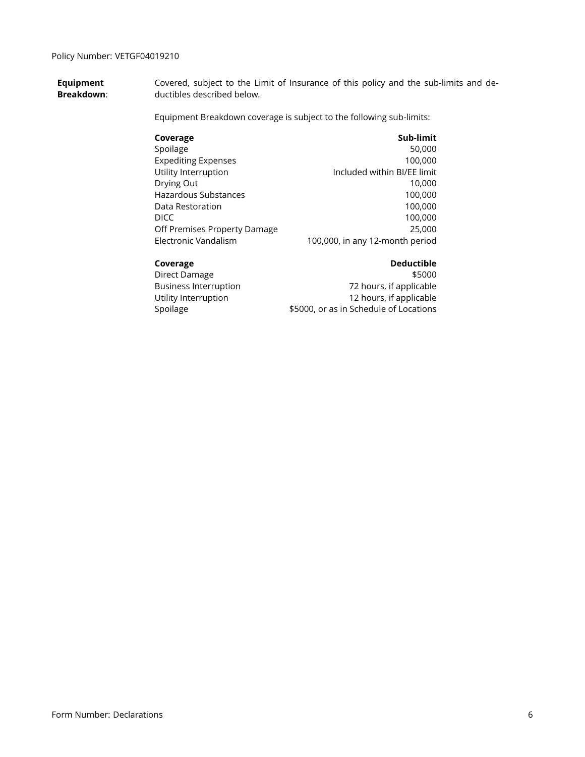**Equipment Breakdown**: Covered, subject to the Limit of Insurance of this policy and the sub-limits and deductibles described below.

Equipment Breakdown coverage is subject to the following sub-limits:

| Coverage                     | Sub-limit                       |
|------------------------------|---------------------------------|
| Spoilage                     | 50,000                          |
| <b>Expediting Expenses</b>   | 100,000                         |
| Utility Interruption         | Included within BI/EE limit     |
| Drying Out                   | 10,000                          |
| <b>Hazardous Substances</b>  | 100,000                         |
| Data Restoration             | 100,000                         |
| DICC                         | 100,000                         |
| Off Premises Property Damage | 25,000                          |
| Electronic Vandalism         | 100,000, in any 12-month period |
|                              |                                 |

#### **Coverage Coverage Coverage Coverage Coverage Coverage Coverage Coverage Coverage Coverage Coverage Coverage Coverage**

Direct Damage \$5000 Business Interruption 72 hours, if applicable Utility Interruption **12 hours**, if applicable Spoilage **\$5000**, or as in Schedule of Locations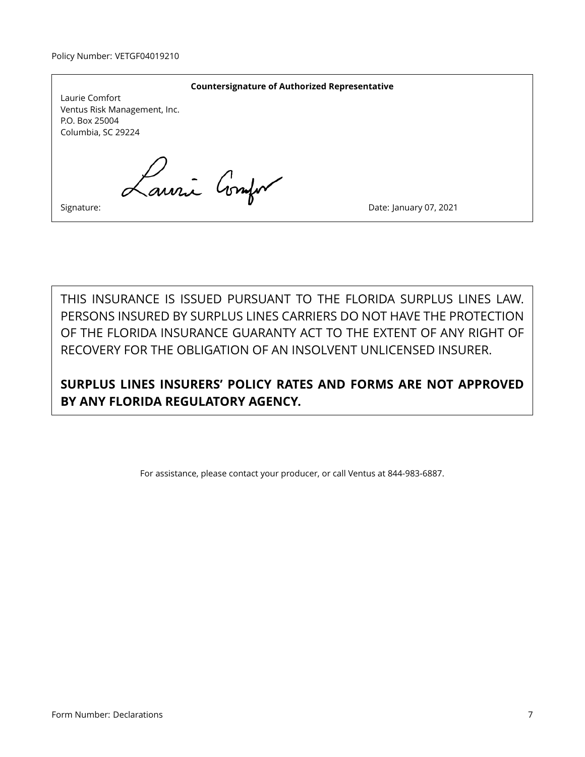| <b>Countersignature of Authorized Representative</b><br>Laurie Comfort<br>Ventus Risk Management, Inc. |                        |
|--------------------------------------------------------------------------------------------------------|------------------------|
| P.O. Box 25004<br>Columbia, SC 29224                                                                   |                        |
| Lauri Compo                                                                                            |                        |
| Signature:                                                                                             | Date: January 07, 2021 |

THIS INSURANCE IS ISSUED PURSUANT TO THE FLORIDA SURPLUS LINES LAW. PERSONS INSURED BY SURPLUS LINES CARRIERS DO NOT HAVE THE PROTECTION OF THE FLORIDA INSURANCE GUARANTY ACT TO THE EXTENT OF ANY RIGHT OF RECOVERY FOR THE OBLIGATION OF AN INSOLVENT UNLICENSED INSURER.

**SURPLUS LINES INSURERS' POLICY RATES AND FORMS ARE NOT APPROVED BY ANY FLORIDA REGULATORY AGENCY.**

For assistance, please contact your producer, or call Ventus at 844-983-6887.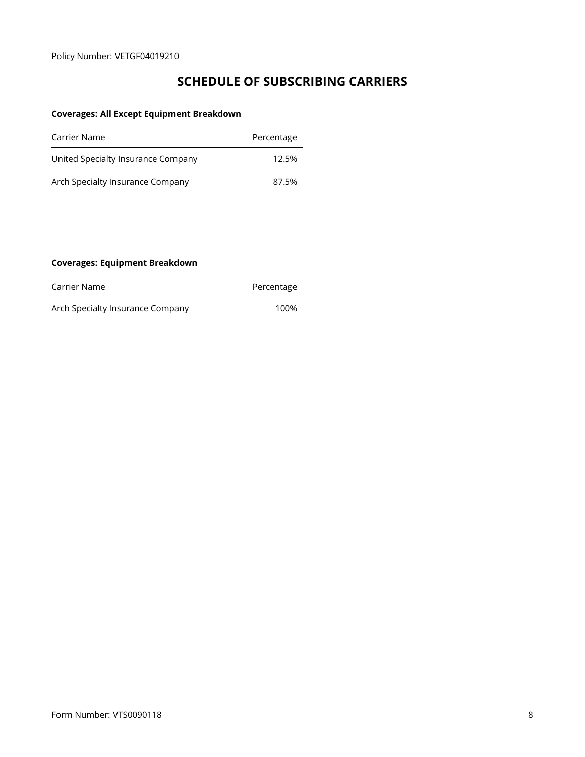# **SCHEDULE OF SUBSCRIBING CARRIERS**

### **Coverages: All Except Equipment Breakdown**

| Carrier Name                       | Percentage |
|------------------------------------|------------|
| United Specialty Insurance Company | 12.5%      |
| Arch Specialty Insurance Company   | 87.5%      |

#### **Coverages: Equipment Breakdown**

| Carrier Name | Percentage |
|--------------|------------|
|              |            |

Arch Specialty Insurance Company 100%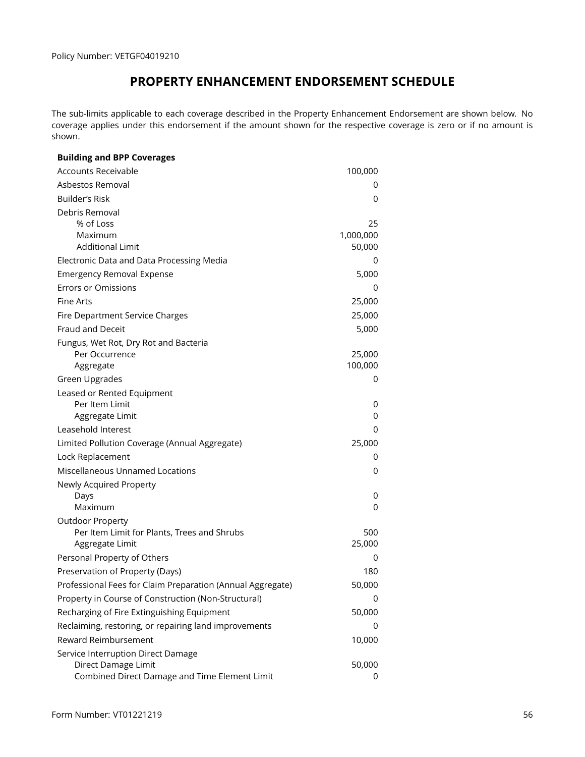# **PROPERTY ENHANCEMENT ENDORSEMENT SCHEDULE**

<span id="page-5-0"></span>The sub-limits applicable to each coverage described in the Property Enhancement Endorsement are shown below. No coverage applies under this endorsement if the amount shown for the respective coverage is zero or if no amount is shown.

| <b>Building and BPP Coverages</b>                          |           |
|------------------------------------------------------------|-----------|
| <b>Accounts Receivable</b>                                 | 100,000   |
| Asbestos Removal                                           | 0         |
| Builder's Risk                                             | 0         |
| Debris Removal                                             |           |
| % of Loss                                                  | 25        |
| Maximum                                                    | 1,000,000 |
| <b>Additional Limit</b>                                    | 50,000    |
| Electronic Data and Data Processing Media                  | 0         |
| <b>Emergency Removal Expense</b>                           | 5,000     |
| <b>Errors or Omissions</b>                                 | 0         |
| Fine Arts                                                  | 25,000    |
| Fire Department Service Charges                            | 25,000    |
| Fraud and Deceit                                           | 5,000     |
| Fungus, Wet Rot, Dry Rot and Bacteria                      |           |
| Per Occurrence                                             | 25,000    |
| Aggregate                                                  | 100,000   |
| <b>Green Upgrades</b>                                      | 0         |
| Leased or Rented Equipment                                 |           |
| Per Item Limit<br>Aggregate Limit                          | 0<br>0    |
| Leasehold Interest                                         | 0         |
|                                                            |           |
| Limited Pollution Coverage (Annual Aggregate)              | 25,000    |
| Lock Replacement                                           | 0         |
| <b>Miscellaneous Unnamed Locations</b>                     | 0         |
| Newly Acquired Property                                    | 0         |
| Days<br>Maximum                                            | 0         |
| <b>Outdoor Property</b>                                    |           |
| Per Item Limit for Plants, Trees and Shrubs                | 500       |
| Aggregate Limit                                            | 25,000    |
| Personal Property of Others                                | 0         |
| Preservation of Property (Days)                            | 180       |
| Professional Fees for Claim Preparation (Annual Aggregate) | 50,000    |
| Property in Course of Construction (Non-Structural)        | 0         |
| Recharging of Fire Extinguishing Equipment                 | 50,000    |
| Reclaiming, restoring, or repairing land improvements      | 0         |
| Reward Reimbursement                                       | 10,000    |
| Service Interruption Direct Damage                         |           |
| Direct Damage Limit                                        | 50,000    |
| Combined Direct Damage and Time Element Limit              | 0         |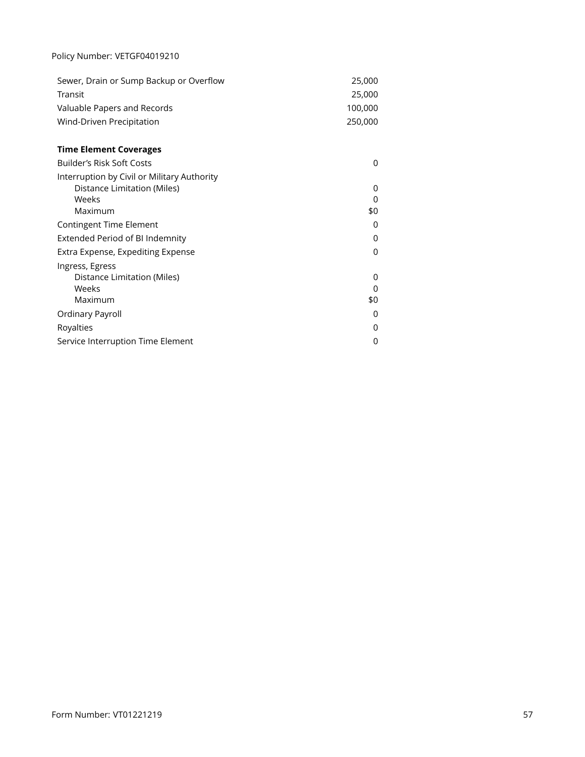### Policy Number: VETGF04019210

| Sewer, Drain or Sump Backup or Overflow | 25,000  |
|-----------------------------------------|---------|
| Transit                                 | 25,000  |
| Valuable Papers and Records             | 100.000 |
| Wind-Driven Precipitation               | 250,000 |

## **Time Element Coverages**

| Builder's Risk Soft Costs                   | 0   |
|---------------------------------------------|-----|
| Interruption by Civil or Military Authority |     |
| Distance Limitation (Miles)                 | 0   |
| Weeks                                       | 0   |
| Maximum                                     | \$0 |
| Contingent Time Element                     | 0   |
| Extended Period of BI Indemnity             | 0   |
| Extra Expense, Expediting Expense           | 0   |
| Ingress, Egress                             |     |
| Distance Limitation (Miles)                 | O   |
| Weeks                                       | O   |
| Maximum                                     | \$0 |
| Ordinary Payroll                            | 0   |
| Royalties                                   | 0   |
| Service Interruption Time Element           | 0   |